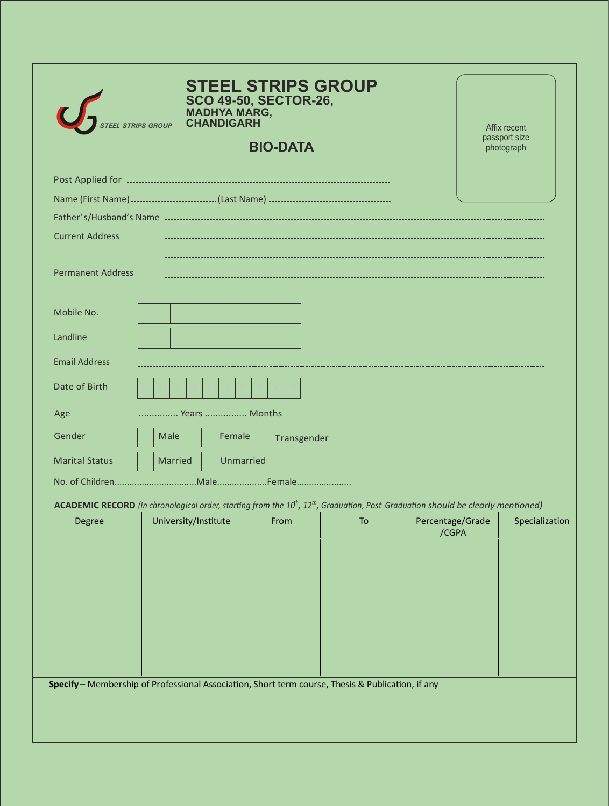| <b>STRIPS GROUP</b>                                                                                                                                       |                             | <b>STEEL STRIPS GROUP</b><br>SCO 49-50, SECTOR-26,<br>MADHYA MARG,<br>CHANDIGARH<br><b>BIO-DATA</b> |    |                           | Affix recent<br>passport size<br>photograph |
|-----------------------------------------------------------------------------------------------------------------------------------------------------------|-----------------------------|-----------------------------------------------------------------------------------------------------|----|---------------------------|---------------------------------------------|
|                                                                                                                                                           |                             |                                                                                                     |    |                           |                                             |
|                                                                                                                                                           |                             |                                                                                                     |    |                           |                                             |
|                                                                                                                                                           |                             |                                                                                                     |    |                           |                                             |
| <b>Current Address</b>                                                                                                                                    |                             |                                                                                                     |    |                           |                                             |
| <b>Permanent Address</b>                                                                                                                                  |                             |                                                                                                     |    |                           |                                             |
| Mobile No.                                                                                                                                                |                             |                                                                                                     |    |                           |                                             |
| Landline                                                                                                                                                  |                             |                                                                                                     |    |                           |                                             |
| <b>Email Address</b>                                                                                                                                      |                             |                                                                                                     |    |                           |                                             |
| Date of Birth                                                                                                                                             |                             |                                                                                                     |    |                           |                                             |
| Age                                                                                                                                                       | Years  Months               |                                                                                                     |    |                           |                                             |
| Gender<br>Male                                                                                                                                            | Female                      | Transgender                                                                                         |    |                           |                                             |
| <b>Marital Status</b>                                                                                                                                     | Unmarried<br><b>Married</b> |                                                                                                     |    |                           |                                             |
|                                                                                                                                                           |                             |                                                                                                     |    |                           |                                             |
| ACADEMIC RECORD (In chronological order, starting from the 10 <sup>th</sup> , 12 <sup>th</sup> , Graduation, Post Graduation should be clearly mentioned) |                             |                                                                                                     |    |                           |                                             |
| Degree                                                                                                                                                    | University/Institute        | From                                                                                                | To | Percentage/Grade<br>/CGPA | Specialization                              |
|                                                                                                                                                           |                             |                                                                                                     |    |                           |                                             |
| Specify - Membership of Professional Association, Short term course, Thesis & Publication, if any                                                         |                             |                                                                                                     |    |                           |                                             |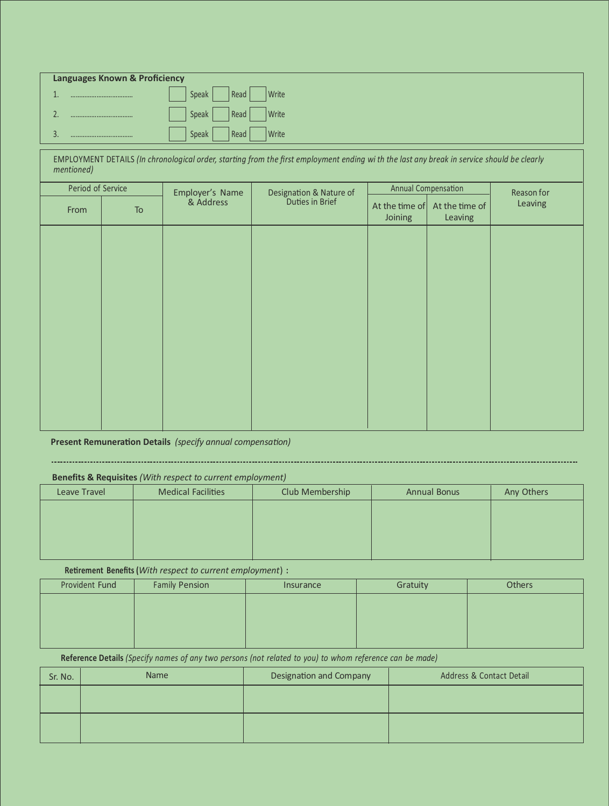| <b>Languages Known &amp; Proficiency</b>                                                                                                                  |                        |                 |                            |                           |                |
|-----------------------------------------------------------------------------------------------------------------------------------------------------------|------------------------|-----------------|----------------------------|---------------------------|----------------|
|                                                                                                                                                           | Write<br>Speak<br>Read |                 |                            |                           |                |
|                                                                                                                                                           | Write<br>Speak<br>Read |                 |                            |                           |                |
| Write<br>3.<br>Speak<br>Read<br>                                                                                                                          |                        |                 |                            |                           |                |
| EMPLOYMENT DETAILS (In chronological order, starting from the first employment ending wi th the last any break in service should be clearly<br>mentioned) |                        |                 |                            |                           |                |
| Period of Service                                                                                                                                         |                        |                 | <b>Annual Compensation</b> |                           | Reason for     |
| <b>To</b>                                                                                                                                                 | & Address              | Duties in Brief | Joining                    | At the time of<br>Leaving | Leaving        |
|                                                                                                                                                           |                        |                 |                            |                           |                |
|                                                                                                                                                           |                        |                 |                            |                           |                |
|                                                                                                                                                           |                        |                 |                            |                           |                |
|                                                                                                                                                           |                        | Employer's Name | Designation & Nature of    |                           | At the time of |

**Present Remuneration Details** (*specify* annual *compensation*)

## 

## **Benefits & Requisites** *(With respect to current employment)*

| Leave Travel | <b>Medical Facilities</b> | Club Membership | <b>Annual Bonus</b> | Any Others |
|--------------|---------------------------|-----------------|---------------------|------------|
|              |                           |                 |                     |            |
|              |                           |                 |                     |            |
|              |                           |                 |                     |            |
|              |                           |                 |                     |            |

**Retirement Benefits** (*With respect to current employment*) :

| <b>Provident Fund</b> | <b>Family Pension</b> | Insurance | Gratuity | <b>Others</b> |
|-----------------------|-----------------------|-----------|----------|---------------|
|                       |                       |           |          |               |
|                       |                       |           |          |               |
|                       |                       |           |          |               |
|                       |                       |           |          |               |

Reference Details (Specify names of any two persons (not related to you) to whom reference can be made)

| Sr. No. | <b>Name</b> | Designation and Company | Address & Contact Detail |
|---------|-------------|-------------------------|--------------------------|
|         |             |                         |                          |
|         |             |                         |                          |
|         |             |                         |                          |
|         |             |                         |                          |
|         |             |                         |                          |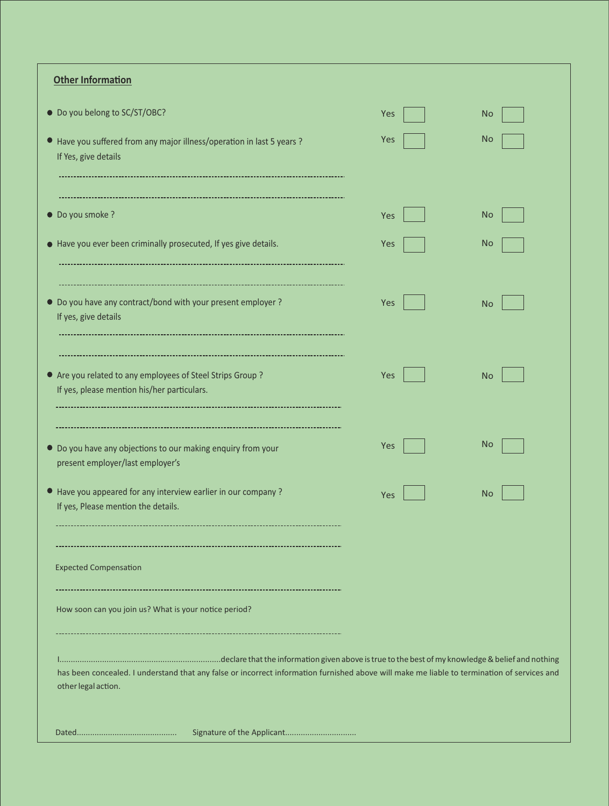| <b>Other Information</b>                                                                                                                                           |     |           |
|--------------------------------------------------------------------------------------------------------------------------------------------------------------------|-----|-----------|
| • Do you belong to SC/ST/OBC?                                                                                                                                      | Yes | <b>No</b> |
| ● Have you suffered from any major illness/operation in last 5 years ?<br>If Yes, give details                                                                     | Yes | <b>No</b> |
| • Do you smoke ?                                                                                                                                                   | Yes | <b>No</b> |
| • Have you ever been criminally prosecuted, If yes give details.                                                                                                   | Yes | <b>No</b> |
| • Do you have any contract/bond with your present employer ?<br>If yes, give details                                                                               | Yes | <b>No</b> |
| • Are you related to any employees of Steel Strips Group?<br>If yes, please mention his/her particulars.                                                           | Yes | No        |
| • Do you have any objections to our making enquiry from your<br>present employer/last employer's                                                                   | Yes | <b>No</b> |
| • Have you appeared for any interview earlier in our company?<br>If yes, Please mention the details.                                                               | Yes | <b>No</b> |
|                                                                                                                                                                    |     |           |
| <b>Expected Compensation</b>                                                                                                                                       |     |           |
| How soon can you join us? What is your notice period?                                                                                                              |     |           |
| has been concealed. I understand that any false or incorrect information furnished above will make me liable to termination of services and<br>other legal action. |     |           |
| Signature of the Applicant                                                                                                                                         |     |           |